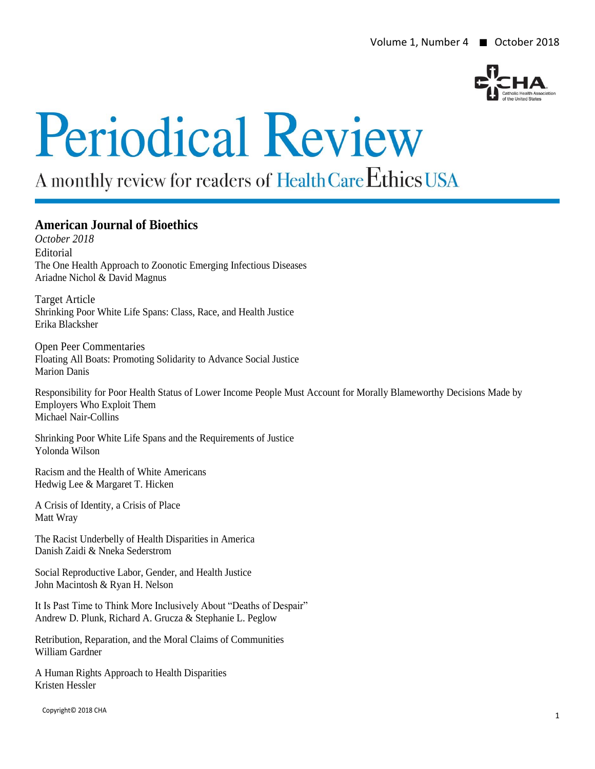

# **Periodical Review**

A monthly review for readers of Health Care Ethics USA

### **American Journal of Bioethics**

*October 2018* Editorial The One Health Approach to Zoonotic Emerging Infectious Diseases Ariadne Nichol & David Magnus

Target Article Shrinking Poor White Life Spans: Class, Race, and Health Justice Erika Blacksher

Open Peer Commentaries Floating All Boats: Promoting Solidarity to Advance Social Justice Marion Danis

Responsibility for Poor Health Status of Lower Income People Must Account for Morally Blameworthy Decisions Made by Employers Who Exploit Them Michael Nair-Collins

Shrinking Poor White Life Spans and the Requirements of Justice Yolonda Wilson

Racism and the Health of White Americans Hedwig Lee & Margaret T. Hicken

A Crisis of Identity, a Crisis of Place Matt Wray

The Racist Underbelly of Health Disparities in America Danish Zaidi & Nneka Sederstrom

Social Reproductive Labor, Gender, and Health Justice John Macintosh & Ryan H. Nelson

It Is Past Time to Think More Inclusively About "Deaths of Despair" Andrew D. Plunk, Richard A. Grucza & Stephanie L. Peglow

Retribution, Reparation, and the Moral Claims of Communities William Gardner

A Human Rights Approach to Health Disparities Kristen Hessler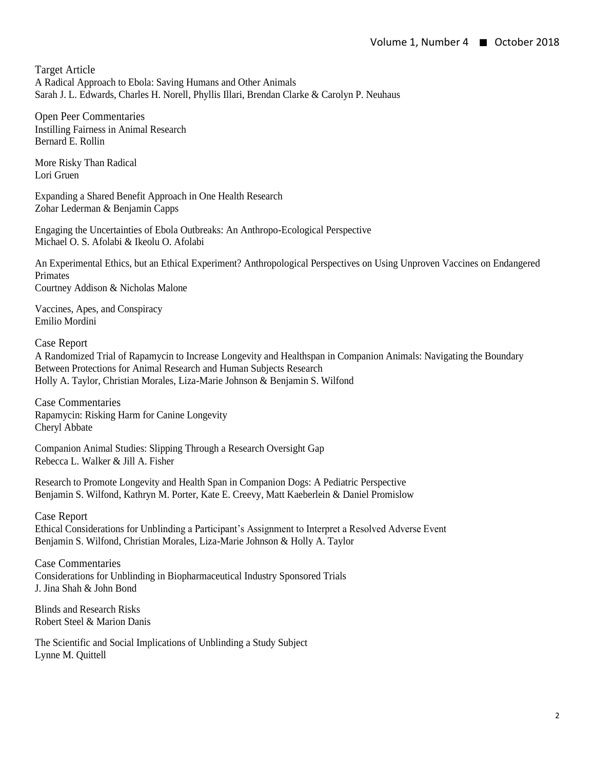Target Article A Radical Approach to Ebola: Saving Humans and Other Animals Sarah J. L. Edwards, Charles H. Norell, Phyllis Illari, Brendan Clarke & Carolyn P. Neuhaus

Open Peer Commentaries Instilling Fairness in Animal Research Bernard E. Rollin

More Risky Than Radical Lori Gruen

Expanding a Shared Benefit Approach in One Health Research Zohar Lederman & Benjamin Capps

Engaging the Uncertainties of Ebola Outbreaks: An Anthropo-Ecological Perspective Michael O. S. Afolabi & Ikeolu O. Afolabi

An Experimental Ethics, but an Ethical Experiment? Anthropological Perspectives on Using Unproven Vaccines on Endangered Primates Courtney Addison & Nicholas Malone

Vaccines, Apes, and Conspiracy Emilio Mordini

Case Report

A Randomized Trial of Rapamycin to Increase Longevity and Healthspan in Companion Animals: Navigating the Boundary Between Protections for Animal Research and Human Subjects Research Holly A. Taylor, Christian Morales, Liza-Marie Johnson & Benjamin S. Wilfond

Case Commentaries Rapamycin: Risking Harm for Canine Longevity Cheryl Abbate

Companion Animal Studies: Slipping Through a Research Oversight Gap Rebecca L. Walker & Jill A. Fisher

Research to Promote Longevity and Health Span in Companion Dogs: A Pediatric Perspective Benjamin S. Wilfond, Kathryn M. Porter, Kate E. Creevy, Matt Kaeberlein & Daniel Promislow

Case Report Ethical Considerations for Unblinding a Participant's Assignment to Interpret a Resolved Adverse Event Benjamin S. Wilfond, Christian Morales, Liza-Marie Johnson & Holly A. Taylor

Case Commentaries Considerations for Unblinding in Biopharmaceutical Industry Sponsored Trials J. Jina Shah & John Bond

Blinds and Research Risks Robert Steel & Marion Danis

The Scientific and Social Implications of Unblinding a Study Subject Lynne M. Quittell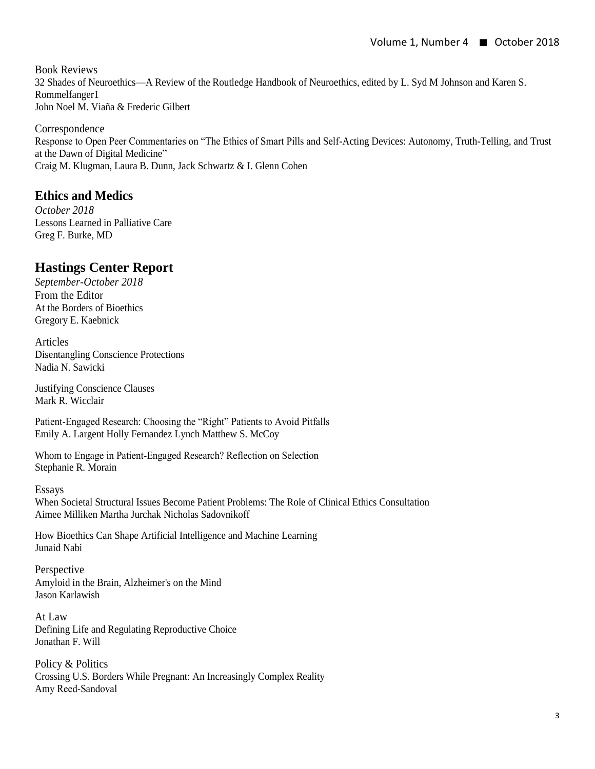Book Reviews 32 Shades of Neuroethics—A Review of the Routledge Handbook of Neuroethics, edited by L. Syd M Johnson and Karen S. Rommelfanger1 John Noel M. Viaña & Frederic Gilbert

Correspondence Response to Open Peer Commentaries on "The Ethics of Smart Pills and Self-Acting Devices: Autonomy, Truth-Telling, and Trust at the Dawn of Digital Medicine" Craig M. Klugman, Laura B. Dunn, Jack Schwartz & I. Glenn Cohen

### **Ethics and Medics**

*October 2018* Lessons Learned in Palliative Care Greg F. Burke, MD

## **Hastings Center Report**

*September-October 2018* From the Editor At the Borders of Bioethics Gregory E. Kaebnick

Articles Disentangling Conscience Protections Nadia N. Sawicki

Justifying Conscience Clauses Mark R. Wicclair

Patient‐Engaged Research: Choosing the "Right" Patients to Avoid Pitfalls Emily A. Largent Holly Fernandez Lynch Matthew S. McCoy

Whom to Engage in Patient‐Engaged Research? Reflection on Selection Stephanie R. Morain

Essays

When Societal Structural Issues Become Patient Problems: The Role of Clinical Ethics Consultation Aimee Milliken Martha Jurchak Nicholas Sadovnikoff

How Bioethics Can Shape Artificial Intelligence and Machine Learning Junaid Nabi

Perspective Amyloid in the Brain, Alzheimer's on the Mind Jason Karlawish

At Law Defining Life and Regulating Reproductive Choice Jonathan F. Will

Policy & Politics Crossing U.S. Borders While Pregnant: An Increasingly Complex Reality Amy Reed‐Sandoval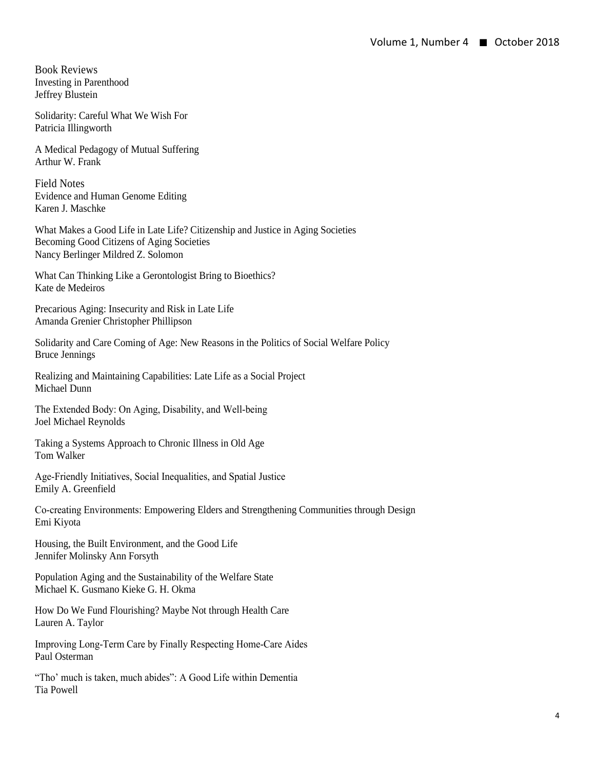Book Reviews Investing in Parenthood Jeffrey Blustein

Solidarity: Careful What We Wish For Patricia Illingworth

A Medical Pedagogy of Mutual Suffering Arthur W. Frank

Field Notes Evidence and Human Genome Editing Karen J. Maschke

What Makes a Good Life in Late Life? Citizenship and Justice in Aging Societies Becoming Good Citizens of Aging Societies Nancy Berlinger Mildred Z. Solomon

What Can Thinking Like a Gerontologist Bring to Bioethics? Kate de Medeiros

Precarious Aging: Insecurity and Risk in Late Life Amanda Grenier Christopher Phillipson

Solidarity and Care Coming of Age: New Reasons in the Politics of Social Welfare Policy Bruce Jennings

Realizing and Maintaining Capabilities: Late Life as a Social Project Michael Dunn

The Extended Body: On Aging, Disability, and Well-being Joel Michael Reynolds

Taking a Systems Approach to Chronic Illness in Old Age Tom Walker

Age‐Friendly Initiatives, Social Inequalities, and Spatial Justice Emily A. Greenfield

Co‐creating Environments: Empowering Elders and Strengthening Communities through Design Emi Kiyota

Housing, the Built Environment, and the Good Life Jennifer Molinsky Ann Forsyth

Population Aging and the Sustainability of the Welfare State Michael K. Gusmano Kieke G. H. Okma

How Do We Fund Flourishing? Maybe Not through Health Care Lauren A. Taylor

Improving Long‐Term Care by Finally Respecting Home‐Care Aides Paul Osterman

"Tho' much is taken, much abides": A Good Life within Dementia Tia Powell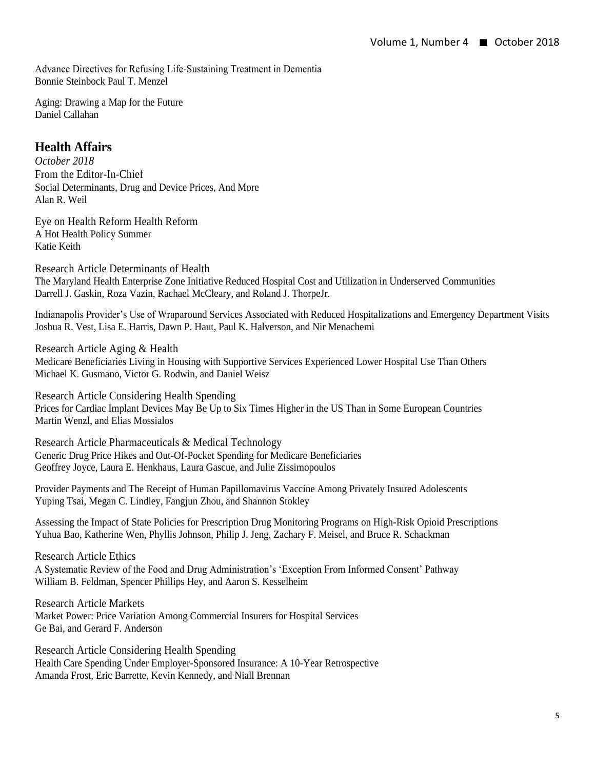Advance Directives for Refusing Life‐Sustaining Treatment in Dementia Bonnie Steinbock Paul T. Menzel

Aging: Drawing a Map for the Future Daniel Callahan

### **Health Affairs**

*October 2018* From the Editor-In-Chief Social Determinants, Drug and Device Prices, And More Alan R. Weil

Eye on Health Reform Health Reform A Hot Health Policy Summer Katie Keith

Research Article Determinants of Health The Maryland Health Enterprise Zone Initiative Reduced Hospital Cost and Utilization in Underserved Communities Darrell J. Gaskin, Roza Vazin, Rachael McCleary, and Roland J. ThorpeJr.

Indianapolis Provider's Use of Wraparound Services Associated with Reduced Hospitalizations and Emergency Department Visits Joshua R. Vest, Lisa E. Harris, Dawn P. Haut, Paul K. Halverson, and Nir Menachemi

Research Article Aging & Health Medicare Beneficiaries Living in Housing with Supportive Services Experienced Lower Hospital Use Than Others Michael K. Gusmano, Victor G. Rodwin, and Daniel Weisz

Research Article Considering Health Spending Prices for Cardiac Implant Devices May Be Up to Six Times Higher in the US Than in Some European Countries Martin Wenzl, and Elias Mossialos

Research Article Pharmaceuticals & Medical Technology Generic Drug Price Hikes and Out-Of-Pocket Spending for Medicare Beneficiaries Geoffrey Joyce, Laura E. Henkhaus, Laura Gascue, and Julie Zissimopoulos

Provider Payments and The Receipt of Human Papillomavirus Vaccine Among Privately Insured Adolescents Yuping Tsai, Megan C. Lindley, Fangjun Zhou, and Shannon Stokley

Assessing the Impact of State Policies for Prescription Drug Monitoring Programs on High-Risk Opioid Prescriptions Yuhua Bao, Katherine Wen, Phyllis Johnson, Philip J. Jeng, Zachary F. Meisel, and Bruce R. Schackman

Research Article Ethics A Systematic Review of the Food and Drug Administration's 'Exception From Informed Consent' Pathway William B. Feldman, Spencer Phillips Hey, and Aaron S. Kesselheim

Research Article Markets Market Power: Price Variation Among Commercial Insurers for Hospital Services Ge Bai, and Gerard F. Anderson

Research Article Considering Health Spending Health Care Spending Under Employer-Sponsored Insurance: A 10-Year Retrospective Amanda Frost, Eric Barrette, Kevin Kennedy, and Niall Brennan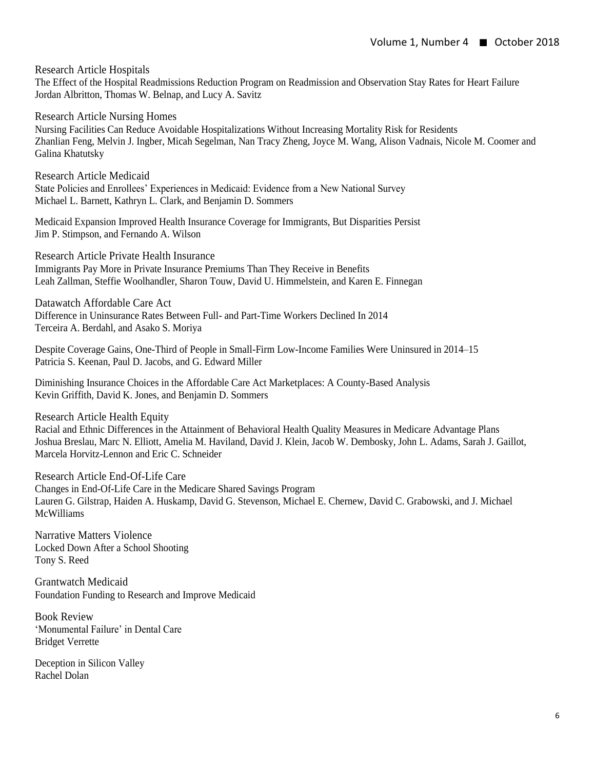Research Article Hospitals

The Effect of the Hospital Readmissions Reduction Program on Readmission and Observation Stay Rates for Heart Failure Jordan Albritton, Thomas W. Belnap, and Lucy A. Savitz

Research Article Nursing Homes Nursing Facilities Can Reduce Avoidable Hospitalizations Without Increasing Mortality Risk for Residents Zhanlian Feng, Melvin J. Ingber, Micah Segelman, Nan Tracy Zheng, Joyce M. Wang, Alison Vadnais, Nicole M. Coomer and Galina Khatutsky

Research Article Medicaid State Policies and Enrollees' Experiences in Medicaid: Evidence from a New National Survey Michael L. Barnett, Kathryn L. Clark, and Benjamin D. Sommers

Medicaid Expansion Improved Health Insurance Coverage for Immigrants, But Disparities Persist Jim P. Stimpson, and Fernando A. Wilson

Research Article Private Health Insurance Immigrants Pay More in Private Insurance Premiums Than They Receive in Benefits Leah Zallman, Steffie Woolhandler, Sharon Touw, David U. Himmelstein, and Karen E. Finnegan

Datawatch Affordable Care Act Difference in Uninsurance Rates Between Full- and Part-Time Workers Declined In 2014 Terceira A. Berdahl, and Asako S. Moriya

Despite Coverage Gains, One-Third of People in Small-Firm Low-Income Families Were Uninsured in 2014–15 Patricia S. Keenan, Paul D. Jacobs, and G. Edward Miller

Diminishing Insurance Choices in the Affordable Care Act Marketplaces: A County-Based Analysis Kevin Griffith, David K. Jones, and Benjamin D. Sommers

Research Article Health Equity

Racial and Ethnic Differences in the Attainment of Behavioral Health Quality Measures in Medicare Advantage Plans Joshua Breslau, Marc N. Elliott, Amelia M. Haviland, David J. Klein, Jacob W. Dembosky, John L. Adams, Sarah J. Gaillot, Marcela Horvitz-Lennon and Eric C. Schneider

Research Article End-Of-Life Care Changes in End-Of-Life Care in the Medicare Shared Savings Program Lauren G. Gilstrap, Haiden A. Huskamp, David G. Stevenson, Michael E. Chernew, David C. Grabowski, and J. Michael McWilliams

Narrative Matters Violence Locked Down After a School Shooting Tony S. Reed

Grantwatch Medicaid Foundation Funding to Research and Improve Medicaid

Book Review 'Monumental Failure' in Dental Care Bridget Verrette

Deception in Silicon Valley Rachel Dolan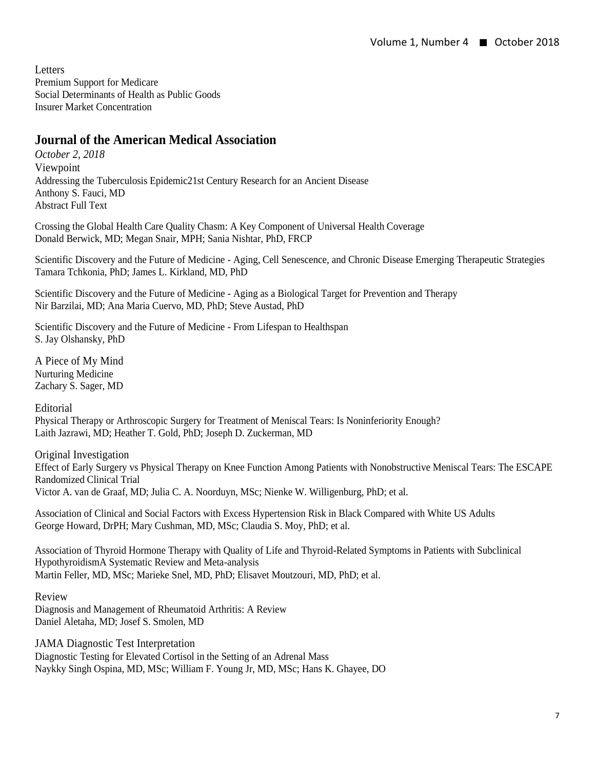**Letters** Premium Support for Medicare Social Determinants of Health as Public Goods Insurer Market Concentration

### **Journal of the American Medical Association**

*October 2, 2018* Viewpoint Addressing the Tuberculosis Epidemic21st Century Research for an Ancient Disease Anthony S. Fauci, MD Abstract Full Text

Crossing the Global Health Care Quality Chasm: A Key Component of Universal Health Coverage Donald Berwick, MD; Megan Snair, MPH; Sania Nishtar, PhD, FRCP

Scientific Discovery and the Future of Medicine - Aging, Cell Senescence, and Chronic Disease Emerging Therapeutic Strategies Tamara Tchkonia, PhD; James L. Kirkland, MD, PhD

Scientific Discovery and the Future of Medicine - Aging as a Biological Target for Prevention and Therapy Nir Barzilai, MD; Ana Maria Cuervo, MD, PhD; Steve Austad, PhD

Scientific Discovery and the Future of Medicine - From Lifespan to Healthspan S. Jay Olshansky, PhD

A Piece of My Mind Nurturing Medicine Zachary S. Sager, MD

**Editorial** Physical Therapy or Arthroscopic Surgery for Treatment of Meniscal Tears: Is Noninferiority Enough? Laith Jazrawi, MD; Heather T. Gold, PhD; Joseph D. Zuckerman, MD

Original Investigation Effect of Early Surgery vs Physical Therapy on Knee Function Among Patients with Nonobstructive Meniscal Tears: The ESCAPE Randomized Clinical Trial Victor A. van de Graaf, MD; Julia C. A. Noorduyn, MSc; Nienke W. Willigenburg, PhD; et al.

Association of Clinical and Social Factors with Excess Hypertension Risk in Black Compared with White US Adults George Howard, DrPH; Mary Cushman, MD, MSc; Claudia S. Moy, PhD; et al.

Association of Thyroid Hormone Therapy with Quality of Life and Thyroid-Related Symptoms in Patients with Subclinical HypothyroidismA Systematic Review and Meta-analysis Martin Feller, MD, MSc; Marieke Snel, MD, PhD; Elisavet Moutzouri, MD, PhD; et al.

Review Diagnosis and Management of Rheumatoid Arthritis: A Review Daniel Aletaha, MD; Josef S. Smolen, MD

JAMA Diagnostic Test Interpretation Diagnostic Testing for Elevated Cortisol in the Setting of an Adrenal Mass Naykky Singh Ospina, MD, MSc; William F. Young Jr, MD, MSc; Hans K. Ghayee, DO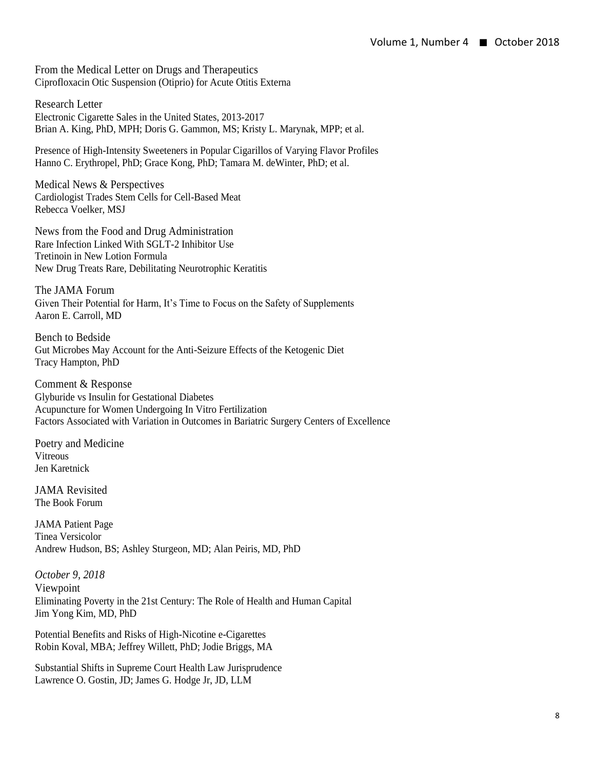From the Medical Letter on Drugs and Therapeutics Ciprofloxacin Otic Suspension (Otiprio) for Acute Otitis Externa

Research Letter Electronic Cigarette Sales in the United States, 2013-2017 Brian A. King, PhD, MPH; Doris G. Gammon, MS; Kristy L. Marynak, MPP; et al.

Presence of High-Intensity Sweeteners in Popular Cigarillos of Varying Flavor Profiles Hanno C. Erythropel, PhD; Grace Kong, PhD; Tamara M. deWinter, PhD; et al.

Medical News & Perspectives Cardiologist Trades Stem Cells for Cell-Based Meat Rebecca Voelker, MSJ

News from the Food and Drug Administration Rare Infection Linked With SGLT-2 Inhibitor Use Tretinoin in New Lotion Formula New Drug Treats Rare, Debilitating Neurotrophic Keratitis

The JAMA Forum Given Their Potential for Harm, It's Time to Focus on the Safety of Supplements Aaron E. Carroll, MD

Bench to Bedside Gut Microbes May Account for the Anti-Seizure Effects of the Ketogenic Diet Tracy Hampton, PhD

Comment & Response Glyburide vs Insulin for Gestational Diabetes Acupuncture for Women Undergoing In Vitro Fertilization Factors Associated with Variation in Outcomes in Bariatric Surgery Centers of Excellence

Poetry and Medicine Vitreous Jen Karetnick

JAMA Revisited The Book Forum

JAMA Patient Page Tinea Versicolor Andrew Hudson, BS; Ashley Sturgeon, MD; Alan Peiris, MD, PhD

*October 9, 2018*  Viewpoint Eliminating Poverty in the 21st Century: The Role of Health and Human Capital Jim Yong Kim, MD, PhD

Potential Benefits and Risks of High-Nicotine e-Cigarettes Robin Koval, MBA; Jeffrey Willett, PhD; Jodie Briggs, MA

Substantial Shifts in Supreme Court Health Law Jurisprudence Lawrence O. Gostin, JD; James G. Hodge Jr, JD, LLM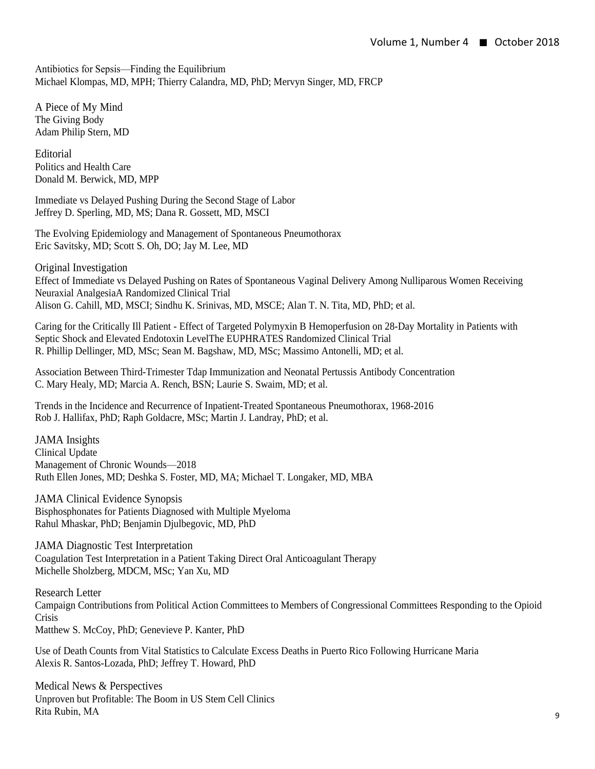Antibiotics for Sepsis—Finding the Equilibrium Michael Klompas, MD, MPH; Thierry Calandra, MD, PhD; Mervyn Singer, MD, FRCP

A Piece of My Mind The Giving Body Adam Philip Stern, MD

Editorial Politics and Health Care Donald M. Berwick, MD, MPP

Immediate vs Delayed Pushing During the Second Stage of Labor Jeffrey D. Sperling, MD, MS; Dana R. Gossett, MD, MSCI

The Evolving Epidemiology and Management of Spontaneous Pneumothorax Eric Savitsky, MD; Scott S. Oh, DO; Jay M. Lee, MD

Original Investigation Effect of Immediate vs Delayed Pushing on Rates of Spontaneous Vaginal Delivery Among Nulliparous Women Receiving Neuraxial AnalgesiaA Randomized Clinical Trial Alison G. Cahill, MD, MSCI; Sindhu K. Srinivas, MD, MSCE; Alan T. N. Tita, MD, PhD; et al.

Caring for the Critically Ill Patient - Effect of Targeted Polymyxin B Hemoperfusion on 28-Day Mortality in Patients with Septic Shock and Elevated Endotoxin LevelThe EUPHRATES Randomized Clinical Trial R. Phillip Dellinger, MD, MSc; Sean M. Bagshaw, MD, MSc; Massimo Antonelli, MD; et al.

Association Between Third-Trimester Tdap Immunization and Neonatal Pertussis Antibody Concentration C. Mary Healy, MD; Marcia A. Rench, BSN; Laurie S. Swaim, MD; et al.

Trends in the Incidence and Recurrence of Inpatient-Treated Spontaneous Pneumothorax, 1968-2016 Rob J. Hallifax, PhD; Raph Goldacre, MSc; Martin J. Landray, PhD; et al.

JAMA Insights Clinical Update Management of Chronic Wounds—2018 Ruth Ellen Jones, MD; Deshka S. Foster, MD, MA; Michael T. Longaker, MD, MBA

JAMA Clinical Evidence Synopsis Bisphosphonates for Patients Diagnosed with Multiple Myeloma Rahul Mhaskar, PhD; Benjamin Djulbegovic, MD, PhD

JAMA Diagnostic Test Interpretation Coagulation Test Interpretation in a Patient Taking Direct Oral Anticoagulant Therapy Michelle Sholzberg, MDCM, MSc; Yan Xu, MD

Research Letter Campaign Contributions from Political Action Committees to Members of Congressional Committees Responding to the Opioid Crisis Matthew S. McCoy, PhD; Genevieve P. Kanter, PhD

Use of Death Counts from Vital Statistics to Calculate Excess Deaths in Puerto Rico Following Hurricane Maria Alexis R. Santos-Lozada, PhD; Jeffrey T. Howard, PhD

Medical News & Perspectives Unproven but Profitable: The Boom in US Stem Cell Clinics Rita Rubin, MA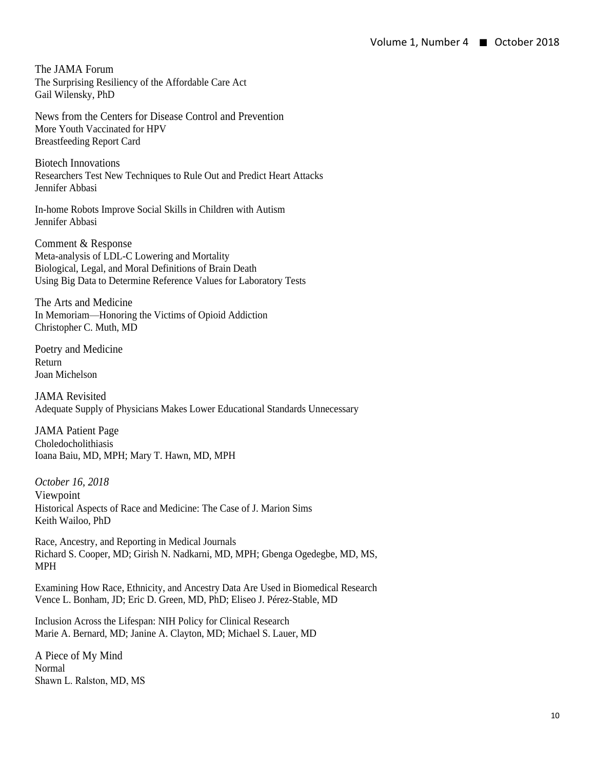The JAMA Forum The Surprising Resiliency of the Affordable Care Act Gail Wilensky, PhD

News from the Centers for Disease Control and Prevention More Youth Vaccinated for HPV Breastfeeding Report Card

Biotech Innovations Researchers Test New Techniques to Rule Out and Predict Heart Attacks Jennifer Abbasi

In-home Robots Improve Social Skills in Children with Autism Jennifer Abbasi

Comment & Response Meta-analysis of LDL-C Lowering and Mortality Biological, Legal, and Moral Definitions of Brain Death Using Big Data to Determine Reference Values for Laboratory Tests

The Arts and Medicine In Memoriam—Honoring the Victims of Opioid Addiction Christopher C. Muth, MD

Poetry and Medicine Return Joan Michelson

JAMA Revisited Adequate Supply of Physicians Makes Lower Educational Standards Unnecessary

JAMA Patient Page Choledocholithiasis Ioana Baiu, MD, MPH; Mary T. Hawn, MD, MPH

*October 16, 2018*  Viewpoint Historical Aspects of Race and Medicine: The Case of J. Marion Sims Keith Wailoo, PhD

Race, Ancestry, and Reporting in Medical Journals Richard S. Cooper, MD; Girish N. Nadkarni, MD, MPH; Gbenga Ogedegbe, MD, MS, MPH

Examining How Race, Ethnicity, and Ancestry Data Are Used in Biomedical Research Vence L. Bonham, JD; Eric D. Green, MD, PhD; Eliseo J. Pérez-Stable, MD

Inclusion Across the Lifespan: NIH Policy for Clinical Research Marie A. Bernard, MD; Janine A. Clayton, MD; Michael S. Lauer, MD

A Piece of My Mind Normal Shawn L. Ralston, MD, MS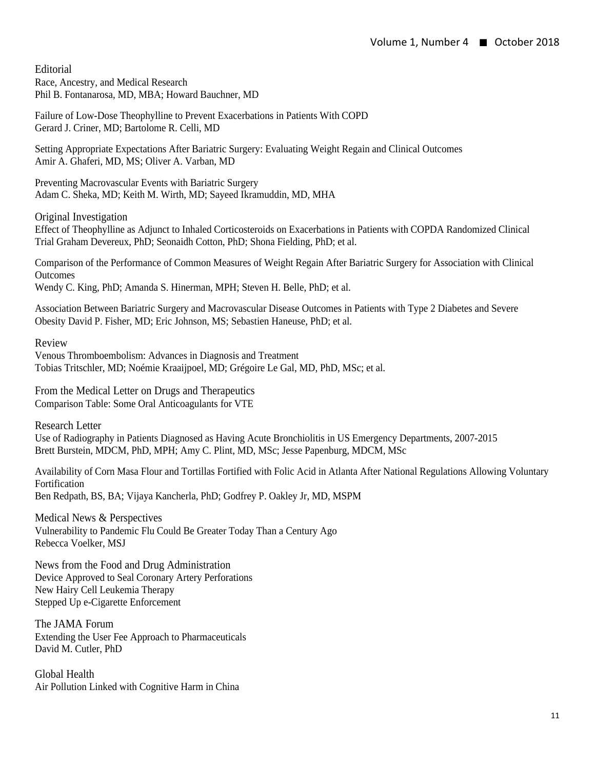Editorial Race, Ancestry, and Medical Research Phil B. Fontanarosa, MD, MBA; Howard Bauchner, MD

Failure of Low-Dose Theophylline to Prevent Exacerbations in Patients With COPD Gerard J. Criner, MD; Bartolome R. Celli, MD

Setting Appropriate Expectations After Bariatric Surgery: Evaluating Weight Regain and Clinical Outcomes Amir A. Ghaferi, MD, MS; Oliver A. Varban, MD

Preventing Macrovascular Events with Bariatric Surgery Adam C. Sheka, MD; Keith M. Wirth, MD; Sayeed Ikramuddin, MD, MHA

Original Investigation

Effect of Theophylline as Adjunct to Inhaled Corticosteroids on Exacerbations in Patients with COPDA Randomized Clinical Trial Graham Devereux, PhD; Seonaidh Cotton, PhD; Shona Fielding, PhD; et al.

Comparison of the Performance of Common Measures of Weight Regain After Bariatric Surgery for Association with Clinical **Outcomes** Wendy C. King, PhD; Amanda S. Hinerman, MPH; Steven H. Belle, PhD; et al.

Association Between Bariatric Surgery and Macrovascular Disease Outcomes in Patients with Type 2 Diabetes and Severe

Obesity David P. Fisher, MD; Eric Johnson, MS; Sebastien Haneuse, PhD; et al.

Review

Venous Thromboembolism: Advances in Diagnosis and Treatment Tobias Tritschler, MD; Noémie Kraaijpoel, MD; Grégoire Le Gal, MD, PhD, MSc; et al.

From the Medical Letter on Drugs and Therapeutics Comparison Table: Some Oral Anticoagulants for VTE

Research Letter Use of Radiography in Patients Diagnosed as Having Acute Bronchiolitis in US Emergency Departments, 2007-2015 Brett Burstein, MDCM, PhD, MPH; Amy C. Plint, MD, MSc; Jesse Papenburg, MDCM, MSc

Availability of Corn Masa Flour and Tortillas Fortified with Folic Acid in Atlanta After National Regulations Allowing Voluntary Fortification Ben Redpath, BS, BA; Vijaya Kancherla, PhD; Godfrey P. Oakley Jr, MD, MSPM

Medical News & Perspectives Vulnerability to Pandemic Flu Could Be Greater Today Than a Century Ago Rebecca Voelker, MSJ

News from the Food and Drug Administration Device Approved to Seal Coronary Artery Perforations New Hairy Cell Leukemia Therapy Stepped Up e-Cigarette Enforcement

The JAMA Forum Extending the User Fee Approach to Pharmaceuticals David M. Cutler, PhD

Global Health Air Pollution Linked with Cognitive Harm in China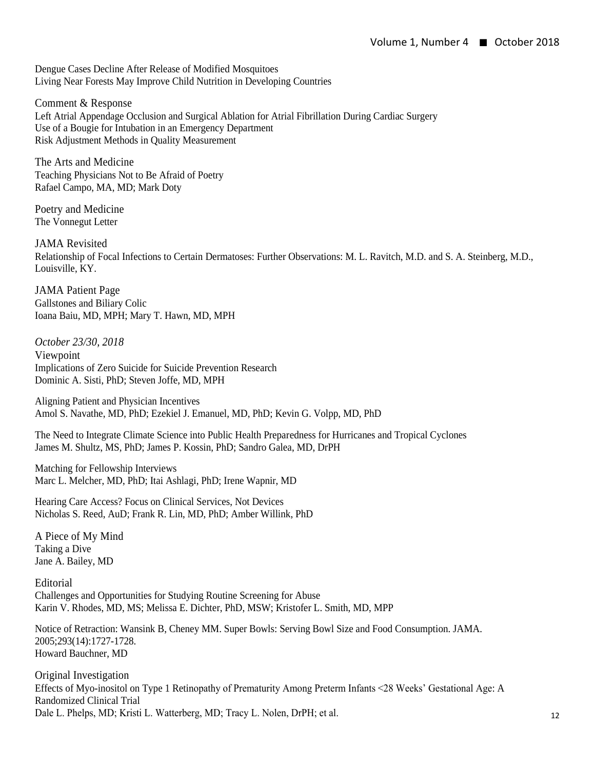Dengue Cases Decline After Release of Modified Mosquitoes Living Near Forests May Improve Child Nutrition in Developing Countries

Comment & Response Left Atrial Appendage Occlusion and Surgical Ablation for Atrial Fibrillation During Cardiac Surgery Use of a Bougie for Intubation in an Emergency Department Risk Adjustment Methods in Quality Measurement

The Arts and Medicine Teaching Physicians Not to Be Afraid of Poetry Rafael Campo, MA, MD; Mark Doty

Poetry and Medicine The Vonnegut Letter

JAMA Revisited Relationship of Focal Infections to Certain Dermatoses: Further Observations: M. L. Ravitch, M.D. and S. A. Steinberg, M.D., Louisville, KY.

JAMA Patient Page Gallstones and Biliary Colic Ioana Baiu, MD, MPH; Mary T. Hawn, MD, MPH

*October 23/30, 2018*  Viewpoint Implications of Zero Suicide for Suicide Prevention Research Dominic A. Sisti, PhD; Steven Joffe, MD, MPH

Aligning Patient and Physician Incentives Amol S. Navathe, MD, PhD; Ezekiel J. Emanuel, MD, PhD; Kevin G. Volpp, MD, PhD

The Need to Integrate Climate Science into Public Health Preparedness for Hurricanes and Tropical Cyclones James M. Shultz, MS, PhD; James P. Kossin, PhD; Sandro Galea, MD, DrPH

Matching for Fellowship Interviews Marc L. Melcher, MD, PhD; Itai Ashlagi, PhD; Irene Wapnir, MD

Hearing Care Access? Focus on Clinical Services, Not Devices Nicholas S. Reed, AuD; Frank R. Lin, MD, PhD; Amber Willink, PhD

A Piece of My Mind Taking a Dive Jane A. Bailey, MD

Editorial Challenges and Opportunities for Studying Routine Screening for Abuse Karin V. Rhodes, MD, MS; Melissa E. Dichter, PhD, MSW; Kristofer L. Smith, MD, MPP

Notice of Retraction: Wansink B, Cheney MM. Super Bowls: Serving Bowl Size and Food Consumption. JAMA. 2005;293(14):1727-1728. Howard Bauchner, MD

Original Investigation Effects of Myo-inositol on Type 1 Retinopathy of Prematurity Among Preterm Infants <28 Weeks' Gestational Age: A Randomized Clinical Trial Dale L. Phelps, MD; Kristi L. Watterberg, MD; Tracy L. Nolen, DrPH; et al.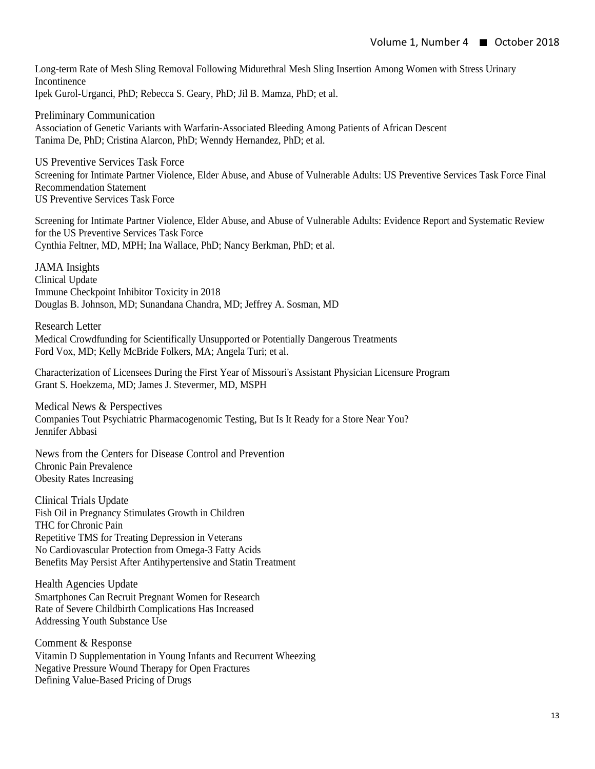Long-term Rate of Mesh Sling Removal Following Midurethral Mesh Sling Insertion Among Women with Stress Urinary Incontinence Ipek Gurol-Urganci, PhD; Rebecca S. Geary, PhD; Jil B. Mamza, PhD; et al.

Preliminary Communication Association of Genetic Variants with Warfarin-Associated Bleeding Among Patients of African Descent Tanima De, PhD; Cristina Alarcon, PhD; Wenndy Hernandez, PhD; et al.

US Preventive Services Task Force Screening for Intimate Partner Violence, Elder Abuse, and Abuse of Vulnerable Adults: US Preventive Services Task Force Final Recommendation Statement US Preventive Services Task Force

Screening for Intimate Partner Violence, Elder Abuse, and Abuse of Vulnerable Adults: Evidence Report and Systematic Review for the US Preventive Services Task Force Cynthia Feltner, MD, MPH; Ina Wallace, PhD; Nancy Berkman, PhD; et al.

JAMA Insights Clinical Update Immune Checkpoint Inhibitor Toxicity in 2018 Douglas B. Johnson, MD; Sunandana Chandra, MD; Jeffrey A. Sosman, MD

Research Letter Medical Crowdfunding for Scientifically Unsupported or Potentially Dangerous Treatments Ford Vox, MD; Kelly McBride Folkers, MA; Angela Turi; et al.

Characterization of Licensees During the First Year of Missouri's Assistant Physician Licensure Program Grant S. Hoekzema, MD; James J. Stevermer, MD, MSPH

Medical News & Perspectives Companies Tout Psychiatric Pharmacogenomic Testing, But Is It Ready for a Store Near You? Jennifer Abbasi

News from the Centers for Disease Control and Prevention Chronic Pain Prevalence Obesity Rates Increasing

Clinical Trials Update Fish Oil in Pregnancy Stimulates Growth in Children THC for Chronic Pain Repetitive TMS for Treating Depression in Veterans No Cardiovascular Protection from Omega-3 Fatty Acids Benefits May Persist After Antihypertensive and Statin Treatment

Health Agencies Update Smartphones Can Recruit Pregnant Women for Research Rate of Severe Childbirth Complications Has Increased Addressing Youth Substance Use

Comment & Response Vitamin D Supplementation in Young Infants and Recurrent Wheezing Negative Pressure Wound Therapy for Open Fractures Defining Value-Based Pricing of Drugs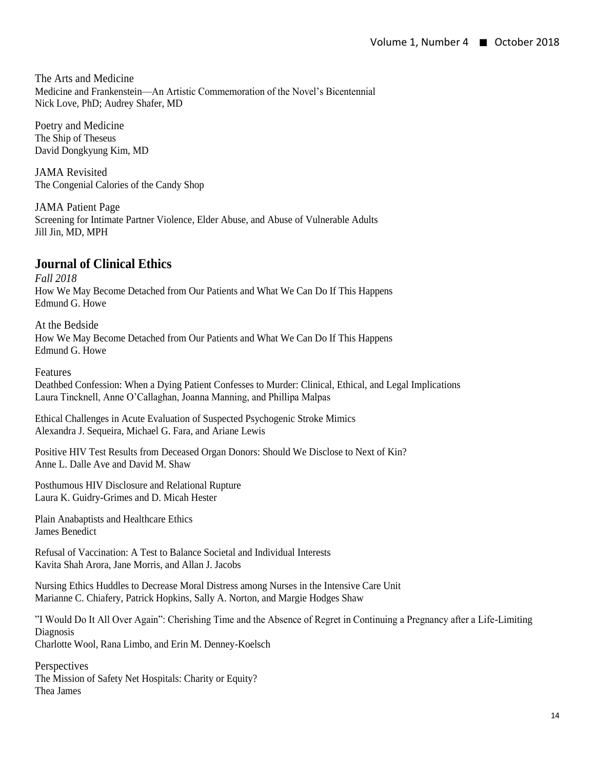The Arts and Medicine Medicine and Frankenstein—An Artistic Commemoration of the Novel's Bicentennial Nick Love, PhD; Audrey Shafer, MD

Poetry and Medicine The Ship of Theseus David Dongkyung Kim, MD

JAMA Revisited The Congenial Calories of the Candy Shop

JAMA Patient Page Screening for Intimate Partner Violence, Elder Abuse, and Abuse of Vulnerable Adults Jill Jin, MD, MPH

## **Journal of Clinical Ethics**

*Fall 2018* How We May Become Detached from Our Patients and What We Can Do If This Happens Edmund G. Howe

At the Bedside How We May Become Detached from Our Patients and What We Can Do If This Happens Edmund G. Howe

Features

Deathbed Confession: When a Dying Patient Confesses to Murder: Clinical, Ethical, and Legal Implications Laura Tincknell, Anne O'Callaghan, Joanna Manning, and Phillipa Malpas

Ethical Challenges in Acute Evaluation of Suspected Psychogenic Stroke Mimics Alexandra J. Sequeira, Michael G. Fara, and Ariane Lewis

Positive HIV Test Results from Deceased Organ Donors: Should We Disclose to Next of Kin? Anne L. Dalle Ave and David M. Shaw

Posthumous HIV Disclosure and Relational Rupture Laura K. Guidry-Grimes and D. Micah Hester

Plain Anabaptists and Healthcare Ethics James Benedict

Refusal of Vaccination: A Test to Balance Societal and Individual Interests Kavita Shah Arora, Jane Morris, and Allan J. Jacobs

Nursing Ethics Huddles to Decrease Moral Distress among Nurses in the Intensive Care Unit Marianne C. Chiafery, Patrick Hopkins, Sally A. Norton, and Margie Hodges Shaw

"I Would Do It All Over Again": Cherishing Time and the Absence of Regret in Continuing a Pregnancy after a Life-Limiting Diagnosis Charlotte Wool, Rana Limbo, and Erin M. Denney-Koelsch

**Perspectives** The Mission of Safety Net Hospitals: Charity or Equity? Thea James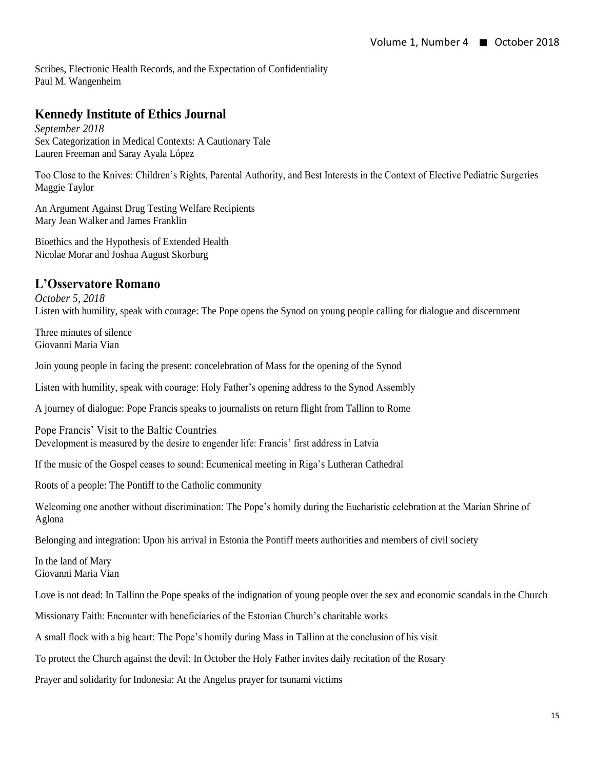Scribes, Electronic Health Records, and the Expectation of Confidentiality Paul M. Wangenheim

# **Kennedy Institute of Ethics Journal**

*September 2018* Sex Categorization in Medical Contexts: A Cautionary Tale Lauren Freeman and Saray Ayala López

Too Close to the Knives: Children's Rights, Parental Authority, and Best Interests in the Context of Elective Pediatric Surgeries Maggie Taylor

An Argument Against Drug Testing Welfare Recipients Mary Jean Walker and James Franklin

Bioethics and the Hypothesis of Extended Health Nicolae Morar and Joshua August Skorburg

# **L'Osservatore Romano**

*October 5, 2018* Listen with humility, speak with courage: The Pope opens the Synod on young people calling for dialogue and discernment

Three minutes of silence Giovanni Maria Vian

Join young people in facing the present: concelebration of Mass for the opening of the Synod

Listen with humility, speak with courage: Holy Father's opening address to the Synod Assembly

A journey of dialogue: Pope Francis speaks to journalists on return flight from Tallinn to Rome

Pope Francis' Visit to the Baltic Countries Development is measured by the desire to engender life: Francis' first address in Latvia

If the music of the Gospel ceases to sound: Ecumenical meeting in Riga's Lutheran Cathedral

Roots of a people: The Pontiff to the Catholic community

Welcoming one another without discrimination: The Pope's homily during the Eucharistic celebration at the Marian Shrine of Aglona

Belonging and integration: Upon his arrival in Estonia the Pontiff meets authorities and members of civil society

In the land of Mary Giovanni Maria Vian

Love is not dead: In Tallinn the Pope speaks of the indignation of young people over the sex and economic scandals in the Church

Missionary Faith: Encounter with beneficiaries of the Estonian Church's charitable works

A small flock with a big heart: The Pope's homily during Mass in Tallinn at the conclusion of his visit

To protect the Church against the devil: In October the Holy Father invites daily recitation of the Rosary

Prayer and solidarity for Indonesia: At the Angelus prayer for tsunami victims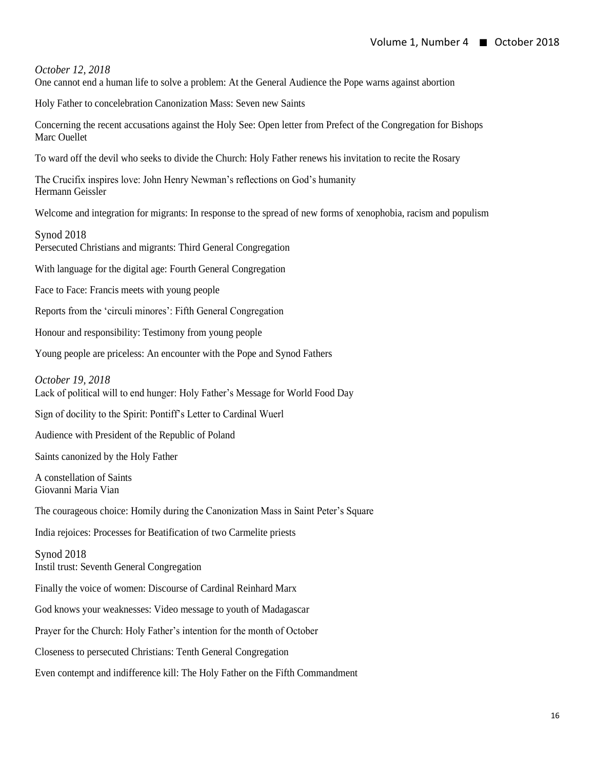*October 12, 2018*

One cannot end a human life to solve a problem: At the General Audience the Pope warns against abortion

Holy Father to concelebration Canonization Mass: Seven new Saints

Concerning the recent accusations against the Holy See: Open letter from Prefect of the Congregation for Bishops Marc Ouellet

To ward off the devil who seeks to divide the Church: Holy Father renews his invitation to recite the Rosary

The Crucifix inspires love: John Henry Newman's reflections on God's humanity Hermann Geissler

Welcome and integration for migrants: In response to the spread of new forms of xenophobia, racism and populism

Synod 2018 Persecuted Christians and migrants: Third General Congregation

With language for the digital age: Fourth General Congregation

Face to Face: Francis meets with young people

Reports from the 'circuli minores': Fifth General Congregation

Honour and responsibility: Testimony from young people

Young people are priceless: An encounter with the Pope and Synod Fathers

*October 19, 2018*

Lack of political will to end hunger: Holy Father's Message for World Food Day

Sign of docility to the Spirit: Pontiff's Letter to Cardinal Wuerl

Audience with President of the Republic of Poland

Saints canonized by the Holy Father

A constellation of Saints Giovanni Maria Vian

The courageous choice: Homily during the Canonization Mass in Saint Peter's Square

India rejoices: Processes for Beatification of two Carmelite priests

Synod 2018 Instil trust: Seventh General Congregation

Finally the voice of women: Discourse of Cardinal Reinhard Marx

God knows your weaknesses: Video message to youth of Madagascar

Prayer for the Church: Holy Father's intention for the month of October

Closeness to persecuted Christians: Tenth General Congregation

Even contempt and indifference kill: The Holy Father on the Fifth Commandment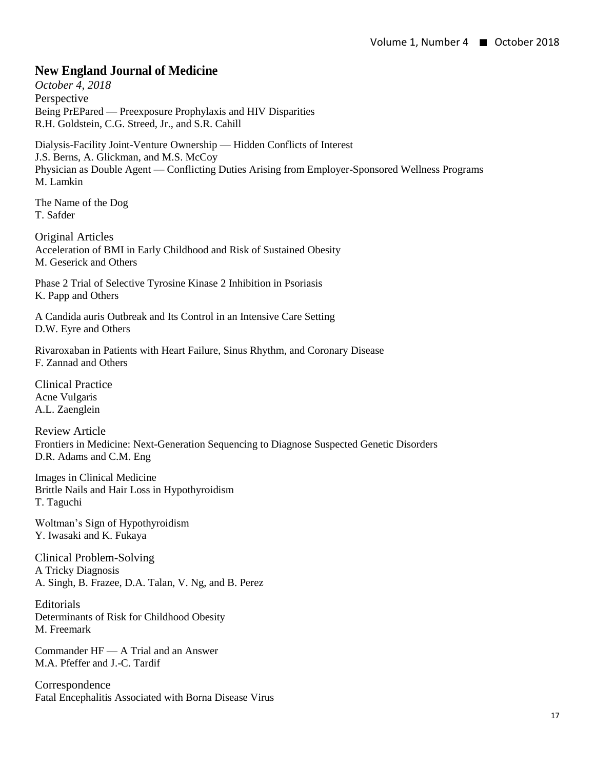## **New England Journal of Medicine**

*October 4, 2018* Perspective Being PrEPared — Preexposure Prophylaxis and HIV Disparities R.H. Goldstein, C.G. Streed, Jr., and S.R. Cahill

Dialysis-Facility Joint-Venture Ownership — Hidden Conflicts of Interest J.S. Berns, A. Glickman, and M.S. McCoy Physician as Double Agent — Conflicting Duties Arising from Employer-Sponsored Wellness Programs M. Lamkin

The Name of the Dog T. Safder

Original Articles Acceleration of BMI in Early Childhood and Risk of Sustained Obesity M. Geserick and Others

Phase 2 Trial of Selective Tyrosine Kinase 2 Inhibition in Psoriasis K. Papp and Others

A Candida auris Outbreak and Its Control in an Intensive Care Setting D.W. Eyre and Others

Rivaroxaban in Patients with Heart Failure, Sinus Rhythm, and Coronary Disease F. Zannad and Others

Clinical Practice Acne Vulgaris A.L. Zaenglein

Review Article Frontiers in Medicine: Next-Generation Sequencing to Diagnose Suspected Genetic Disorders D.R. Adams and C.M. Eng

Images in Clinical Medicine Brittle Nails and Hair Loss in Hypothyroidism T. Taguchi

Woltman's Sign of Hypothyroidism Y. Iwasaki and K. Fukaya

Clinical Problem-Solving A Tricky Diagnosis A. Singh, B. Frazee, D.A. Talan, V. Ng, and B. Perez

Editorials Determinants of Risk for Childhood Obesity M. Freemark

Commander HF — A Trial and an Answer M.A. Pfeffer and J.-C. Tardif

Correspondence Fatal Encephalitis Associated with Borna Disease Virus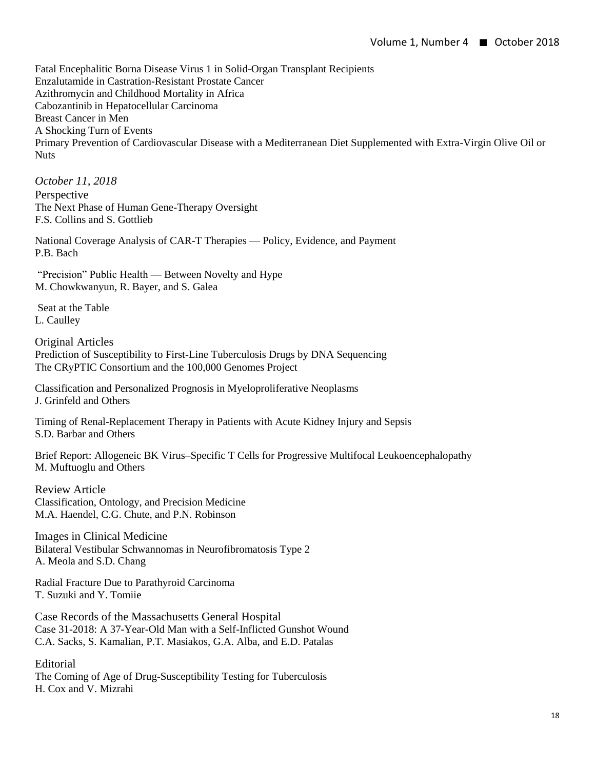Fatal Encephalitic Borna Disease Virus 1 in Solid-Organ Transplant Recipients Enzalutamide in Castration-Resistant Prostate Cancer Azithromycin and Childhood Mortality in Africa Cabozantinib in Hepatocellular Carcinoma Breast Cancer in Men A Shocking Turn of Events Primary Prevention of Cardiovascular Disease with a Mediterranean Diet Supplemented with Extra-Virgin Olive Oil or **Nuts** 

*October 11, 2018* Perspective The Next Phase of Human Gene-Therapy Oversight F.S. Collins and S. Gottlieb

National Coverage Analysis of CAR-T Therapies — Policy, Evidence, and Payment P.B. Bach

"Precision" Public Health — Between Novelty and Hype M. Chowkwanyun, R. Bayer, and S. Galea

Seat at the Table L. Caulley

Original Articles Prediction of Susceptibility to First-Line Tuberculosis Drugs by DNA Sequencing The CRyPTIC Consortium and the 100,000 Genomes Project

Classification and Personalized Prognosis in Myeloproliferative Neoplasms J. Grinfeld and Others

Timing of Renal-Replacement Therapy in Patients with Acute Kidney Injury and Sepsis S.D. Barbar and Others

Brief Report: Allogeneic BK Virus–Specific T Cells for Progressive Multifocal Leukoencephalopathy M. Muftuoglu and Others

Review Article Classification, Ontology, and Precision Medicine M.A. Haendel, C.G. Chute, and P.N. Robinson

Images in Clinical Medicine Bilateral Vestibular Schwannomas in Neurofibromatosis Type 2 A. Meola and S.D. Chang

Radial Fracture Due to Parathyroid Carcinoma T. Suzuki and Y. Tomiie

Case Records of the Massachusetts General Hospital Case 31-2018: A 37-Year-Old Man with a Self-Inflicted Gunshot Wound C.A. Sacks, S. Kamalian, P.T. Masiakos, G.A. Alba, and E.D. Patalas

Editorial The Coming of Age of Drug-Susceptibility Testing for Tuberculosis H. Cox and V. Mizrahi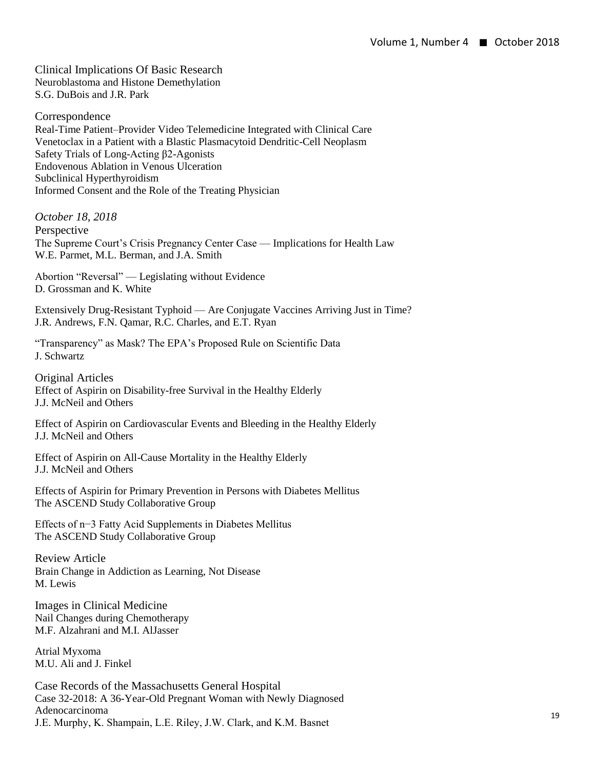Clinical Implications Of Basic Research Neuroblastoma and Histone Demethylation S.G. DuBois and J.R. Park

Correspondence Real-Time Patient–Provider Video Telemedicine Integrated with Clinical Care Venetoclax in a Patient with a Blastic Plasmacytoid Dendritic-Cell Neoplasm Safety Trials of Long-Acting β2-Agonists Endovenous Ablation in Venous Ulceration Subclinical Hyperthyroidism Informed Consent and the Role of the Treating Physician

*October 18, 2018*  Perspective The Supreme Court's Crisis Pregnancy Center Case — Implications for Health Law W.E. Parmet, M.L. Berman, and J.A. Smith

Abortion "Reversal" — Legislating without Evidence D. Grossman and K. White

Extensively Drug-Resistant Typhoid — Are Conjugate Vaccines Arriving Just in Time? J.R. Andrews, F.N. Qamar, R.C. Charles, and E.T. Ryan

"Transparency" as Mask? The EPA's Proposed Rule on Scientific Data J. Schwartz

Original Articles Effect of Aspirin on Disability-free Survival in the Healthy Elderly J.J. McNeil and Others

Effect of Aspirin on Cardiovascular Events and Bleeding in the Healthy Elderly J.J. McNeil and Others

Effect of Aspirin on All-Cause Mortality in the Healthy Elderly J.J. McNeil and Others

Effects of Aspirin for Primary Prevention in Persons with Diabetes Mellitus The ASCEND Study Collaborative Group

Effects of n−3 Fatty Acid Supplements in Diabetes Mellitus The ASCEND Study Collaborative Group

Review Article Brain Change in Addiction as Learning, Not Disease M. Lewis

Images in Clinical Medicine Nail Changes during Chemotherapy M.F. Alzahrani and M.I. AlJasser

Atrial Myxoma M.U. Ali and J. Finkel

Case Records of the Massachusetts General Hospital Case 32-2018: A 36-Year-Old Pregnant Woman with Newly Diagnosed Adenocarcinoma J.E. Murphy, K. Shampain, L.E. Riley, J.W. Clark, and K.M. Basnet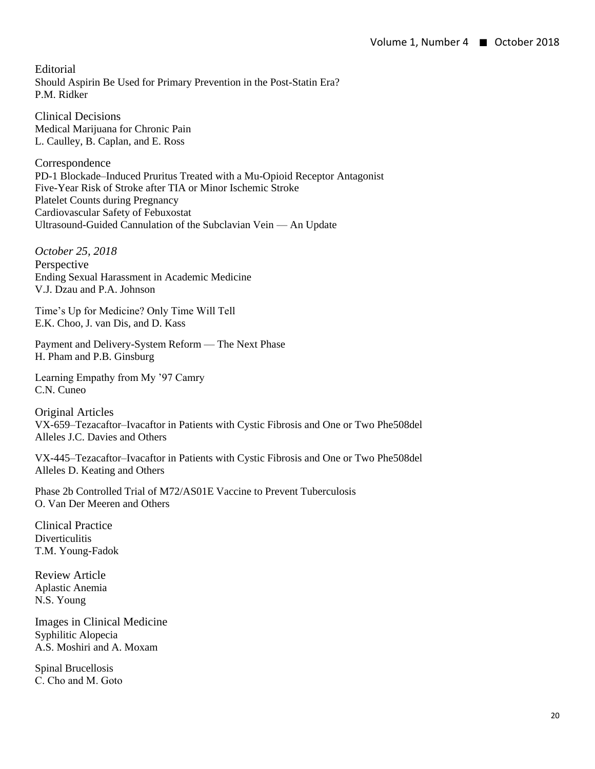Editorial Should Aspirin Be Used for Primary Prevention in the Post-Statin Era? P.M. Ridker

Clinical Decisions Medical Marijuana for Chronic Pain L. Caulley, B. Caplan, and E. Ross

Correspondence PD-1 Blockade–Induced Pruritus Treated with a Mu-Opioid Receptor Antagonist Five-Year Risk of Stroke after TIA or Minor Ischemic Stroke Platelet Counts during Pregnancy Cardiovascular Safety of Febuxostat Ultrasound-Guided Cannulation of the Subclavian Vein — An Update

*October 25, 2018*  Perspective Ending Sexual Harassment in Academic Medicine V.J. Dzau and P.A. Johnson

Time's Up for Medicine? Only Time Will Tell E.K. Choo, J. van Dis, and D. Kass

Payment and Delivery-System Reform — The Next Phase H. Pham and P.B. Ginsburg

Learning Empathy from My '97 Camry C.N. Cuneo

Original Articles VX-659–Tezacaftor–Ivacaftor in Patients with Cystic Fibrosis and One or Two Phe508del Alleles J.C. Davies and Others

VX-445–Tezacaftor–Ivacaftor in Patients with Cystic Fibrosis and One or Two Phe508del Alleles D. Keating and Others

Phase 2b Controlled Trial of M72/AS01E Vaccine to Prevent Tuberculosis O. Van Der Meeren and Others

Clinical Practice **Diverticulitis** T.M. Young-Fadok

Review Article Aplastic Anemia N.S. Young

Images in Clinical Medicine Syphilitic Alopecia A.S. Moshiri and A. Moxam

Spinal Brucellosis C. Cho and M. Goto